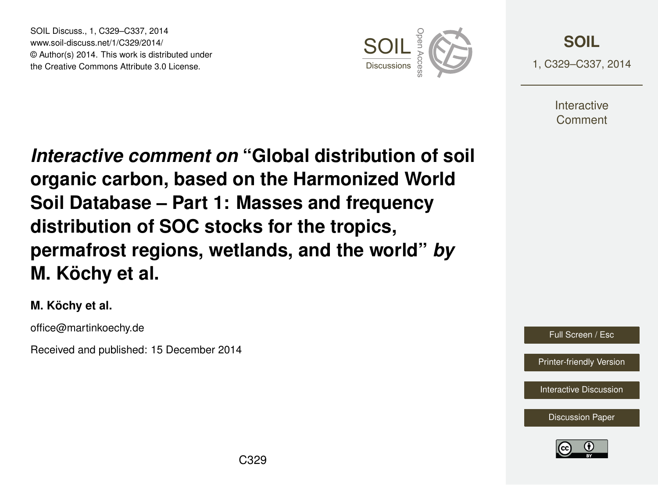SOIL Discuss., 1, C329–C337, 2014 www.soil-discuss.net/1/C329/2014/ © Author(s) 2014. This work is distributed under SOIL Discuss., 1, C329–C337, 2014<br>www.soil-discuss.net/1/C329/2014/<br>
© Author(s) 2014. This work is distributed under<br>
the Creative Commons Attribute 3.0 License.



**[SOIL](http://www.soil-discuss.net)** 1, C329–C337, 2014

> **Interactive** Comment

*Interactive comment on* **"Global distribution of soil organic carbon, based on the Harmonized World Soil Database – Part 1: Masses and frequency distribution of SOC stocks for the tropics, permafrost regions, wetlands, and the world"** *by* **M. Köchy et al.**

**M. Köchy et al.**

office@martinkoechy.de

Received and published: 15 December 2014

Full Screen / Esc

[Printer-friendly Version](http://www.soil-discuss.net/1/C329/2014/soild-1-C329-2014-print.pdf)

[Interactive Discussion](http://www.soil-discuss.net/1/327/2014/soild-1-327-2014-discussion.html)

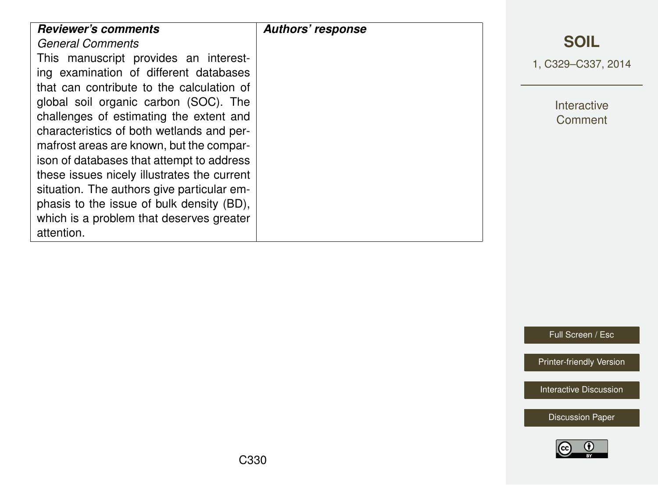Full Screen / Esc

[Printer-friendly Version](http://www.soil-discuss.net/1/C329/2014/soild-1-C329-2014-print.pdf)

[Interactive Discussion](http://www.soil-discuss.net/1/327/2014/soild-1-327-2014-discussion.html)

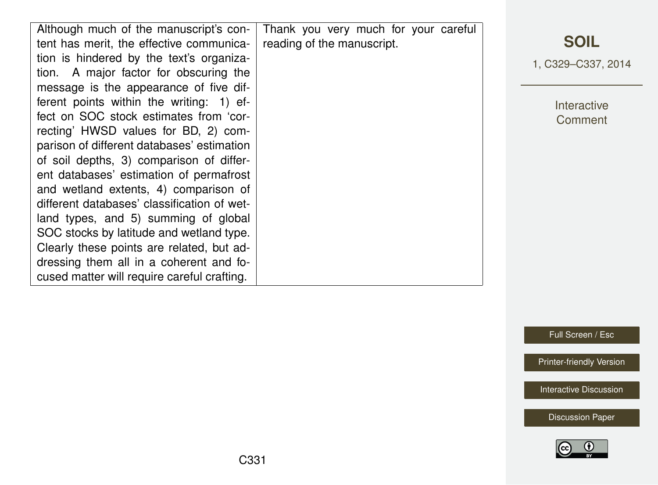| Although much of the manuscript's con-      | Thank you very much for your careful |                    |
|---------------------------------------------|--------------------------------------|--------------------|
| tent has merit, the effective communica-    | reading of the manuscript.           | <b>SOIL</b>        |
| tion is hindered by the text's organiza-    |                                      | 1, C329-C337, 2014 |
| tion. A major factor for obscuring the      |                                      |                    |
| message is the appearance of five dif-      |                                      |                    |
| ferent points within the writing: 1) ef-    |                                      | Interactive        |
| fect on SOC stock estimates from 'cor-      |                                      | Comment            |
| recting' HWSD values for BD, 2) com-        |                                      |                    |
| parison of different databases' estimation  |                                      |                    |
| of soil depths, 3) comparison of differ-    |                                      |                    |
| ent databases' estimation of permafrost     |                                      |                    |
| and wetland extents, 4) comparison of       |                                      |                    |
| different databases' classification of wet- |                                      |                    |
| land types, and 5) summing of global        |                                      |                    |
| SOC stocks by latitude and wetland type.    |                                      |                    |
| Clearly these points are related, but ad-   |                                      |                    |
| dressing them all in a coherent and fo-     |                                      |                    |
| cused matter will require careful crafting. |                                      |                    |

Full Screen / Esc

[Printer-friendly Version](http://www.soil-discuss.net/1/C329/2014/soild-1-C329-2014-print.pdf)

[Interactive Discussion](http://www.soil-discuss.net/1/327/2014/soild-1-327-2014-discussion.html)

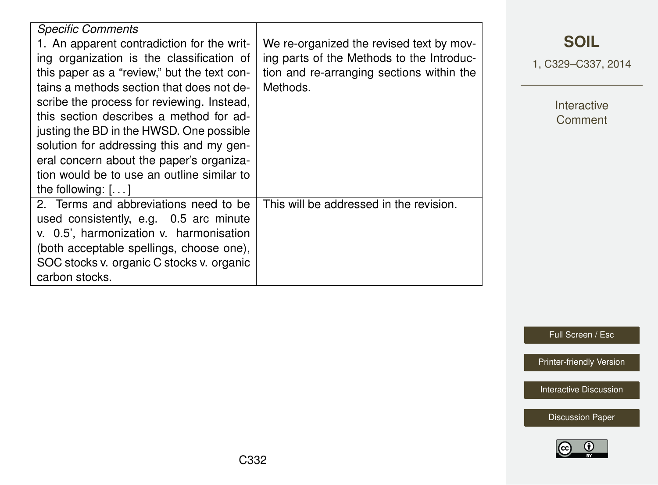| <b>Specific Comments</b>                    |                                           |  |
|---------------------------------------------|-------------------------------------------|--|
| 1. An apparent contradiction for the writ-  | We re-organized the revised text by mov-  |  |
| ing organization is the classification of   | ing parts of the Methods to the Introduc- |  |
| this paper as a "review," but the text con- | tion and re-arranging sections within the |  |
| tains a methods section that does not de-   | Methods.                                  |  |
| scribe the process for reviewing. Instead,  |                                           |  |
| this section describes a method for ad-     |                                           |  |
|                                             |                                           |  |
| justing the BD in the HWSD. One possible    |                                           |  |
| solution for addressing this and my gen-    |                                           |  |
| eral concern about the paper's organiza-    |                                           |  |
| tion would be to use an outline similar to  |                                           |  |
| the following: $[]$                         |                                           |  |
| 2. Terms and abbreviations need to be       | This will be addressed in the revision.   |  |
| used consistently, e.g. 0.5 arc minute      |                                           |  |
| v. 0.5', harmonization v. harmonisation     |                                           |  |
| (both acceptable spellings, choose one),    |                                           |  |
| SOC stocks v. organic C stocks v. organic   |                                           |  |
|                                             |                                           |  |
| carbon stocks.                              |                                           |  |

**[SOIL](http://www.soil-discuss.net)**

1, C329–C337, 2014

Interactive **Comment** 

Full Screen / Esc

[Printer-friendly Version](http://www.soil-discuss.net/1/C329/2014/soild-1-C329-2014-print.pdf)

[Interactive Discussion](http://www.soil-discuss.net/1/327/2014/soild-1-327-2014-discussion.html)

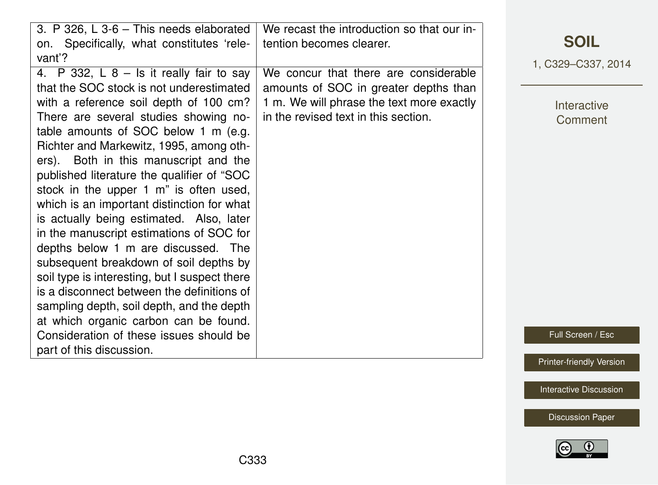| 3. P 326, L 3-6 - This needs elaborated       | We recast the introduction so that our in- |                                 |
|-----------------------------------------------|--------------------------------------------|---------------------------------|
| on. Specifically, what constitutes 'rele-     | tention becomes clearer.                   | <b>SOIL</b>                     |
| vant'?                                        |                                            | 1, C329-C337, 2014              |
| 4. P 332, L $8 -$ Is it really fair to say    | We concur that there are considerable      |                                 |
| that the SOC stock is not underestimated      | amounts of SOC in greater depths than      |                                 |
| with a reference soil depth of 100 cm?        | 1 m. We will phrase the text more exactly  | Interactive                     |
| There are several studies showing no-         | in the revised text in this section.       | Comment                         |
| table amounts of SOC below 1 m (e.g.          |                                            |                                 |
| Richter and Markewitz, 1995, among oth-       |                                            |                                 |
| ers). Both in this manuscript and the         |                                            |                                 |
| published literature the qualifier of "SOC    |                                            |                                 |
| stock in the upper 1 m" is often used,        |                                            |                                 |
| which is an important distinction for what    |                                            |                                 |
| is actually being estimated. Also, later      |                                            |                                 |
| in the manuscript estimations of SOC for      |                                            |                                 |
| depths below 1 m are discussed. The           |                                            |                                 |
| subsequent breakdown of soil depths by        |                                            |                                 |
| soil type is interesting, but I suspect there |                                            |                                 |
| is a disconnect between the definitions of    |                                            |                                 |
| sampling depth, soil depth, and the depth     |                                            |                                 |
| at which organic carbon can be found.         |                                            |                                 |
| Consideration of these issues should be       |                                            | Full Screen / Esc               |
| part of this discussion.                      |                                            |                                 |
|                                               |                                            | <b>Printer-friendly Version</b> |

[Interactive Discussion](http://www.soil-discuss.net/1/327/2014/soild-1-327-2014-discussion.html)

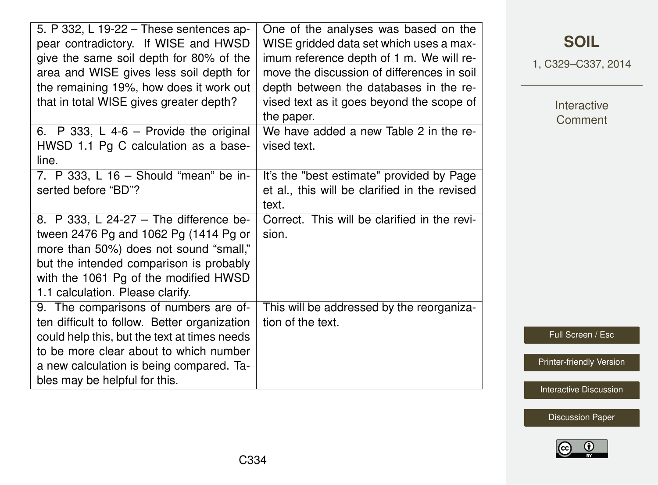| 5. P 332, L 19-22 - These sentences ap-<br>pear contradictory. If WISE and HWSD<br>give the same soil depth for 80% of the<br>area and WISE gives less soil depth for<br>the remaining 19%, how does it work out<br>that in total WISE gives greater depth?  | One of the analyses was based on the<br>WISE gridded data set which uses a max-<br>imum reference depth of 1 m. We will re-<br>move the discussion of differences in soil<br>depth between the databases in the re-<br>vised text as it goes beyond the scope of<br>the paper. |
|--------------------------------------------------------------------------------------------------------------------------------------------------------------------------------------------------------------------------------------------------------------|--------------------------------------------------------------------------------------------------------------------------------------------------------------------------------------------------------------------------------------------------------------------------------|
| 6. P 333, L 4-6 - Provide the original<br>HWSD 1.1 Pg C calculation as a base-<br>line.                                                                                                                                                                      | We have added a new Table 2 in the re-<br>vised text.                                                                                                                                                                                                                          |
| 7. P 333, L 16 - Should "mean" be in-<br>serted before "BD"?                                                                                                                                                                                                 | It's the "best estimate" provided by Page<br>et al., this will be clarified in the revised<br>text.                                                                                                                                                                            |
| 8. P 333, L 24-27 - The difference be-<br>tween 2476 Pg and 1062 Pg (1414 Pg or<br>more than 50%) does not sound "small,"<br>but the intended comparison is probably<br>with the 1061 Pg of the modified HWSD<br>1.1 calculation. Please clarify.            | Correct. This will be clarified in the revi-<br>sion.                                                                                                                                                                                                                          |
| 9. The comparisons of numbers are of-<br>ten difficult to follow. Better organization<br>could help this, but the text at times needs<br>to be more clear about to which number<br>a new calculation is being compared. Ta-<br>bles may be helpful for this. | This will be addressed by the reorganiza-<br>tion of the text.                                                                                                                                                                                                                 |

**[SOIL](http://www.soil-discuss.net)**

1, C329–C337, 2014

Interactive **Comment** 

Full Screen / Esc

[Printer-friendly Version](http://www.soil-discuss.net/1/C329/2014/soild-1-C329-2014-print.pdf)

[Interactive Discussion](http://www.soil-discuss.net/1/327/2014/soild-1-327-2014-discussion.html)

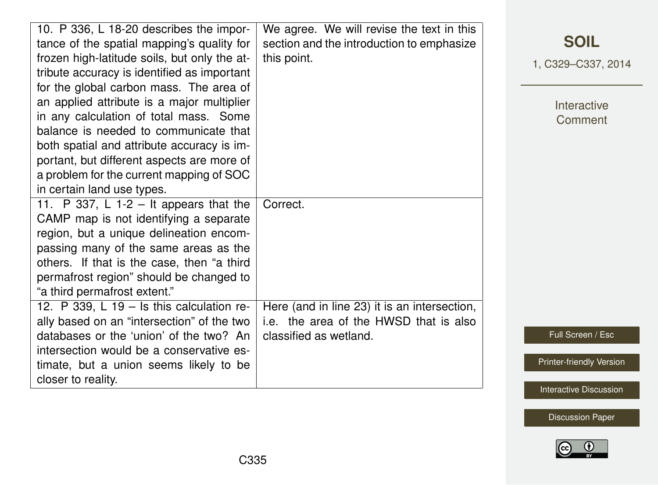| 10. P 336, L 18-20 describes the impor-<br>tance of the spatial mapping's quality for<br>frozen high-latitude soils, but only the at-<br>tribute accuracy is identified as important<br>for the global carbon mass. The area of<br>an applied attribute is a major multiplier<br>in any calculation of total mass. Some<br>balance is needed to communicate that<br>both spatial and attribute accuracy is im-<br>portant, but different aspects are more of<br>a problem for the current mapping of SOC<br>in certain land use types. | We agree. We will revise the text in this<br>section and the introduction to emphasize<br>this point.                        |
|----------------------------------------------------------------------------------------------------------------------------------------------------------------------------------------------------------------------------------------------------------------------------------------------------------------------------------------------------------------------------------------------------------------------------------------------------------------------------------------------------------------------------------------|------------------------------------------------------------------------------------------------------------------------------|
| 11. P 337, L 1-2 – It appears that the<br>CAMP map is not identifying a separate<br>region, but a unique delineation encom-<br>passing many of the same areas as the<br>others. If that is the case, then "a third<br>permafrost region" should be changed to<br>"a third permafrost extent."<br>12. P 339, L 19 $-$ Is this calculation re-<br>ally based on an "intersection" of the two<br>databases or the 'union' of the two? An<br>intersection would be a conservative es-                                                      | Correct.<br>Here (and in line 23) it is an intersection,<br>i.e. the area of the HWSD that is also<br>classified as wetland. |
| timate, but a union seems likely to be<br>closer to reality.                                                                                                                                                                                                                                                                                                                                                                                                                                                                           |                                                                                                                              |

1, C329–C337, 2014

Interactive **Comment** 

Full Screen / Esc

[Printer-friendly Version](http://www.soil-discuss.net/1/C329/2014/soild-1-C329-2014-print.pdf)

[Interactive Discussion](http://www.soil-discuss.net/1/327/2014/soild-1-327-2014-discussion.html)

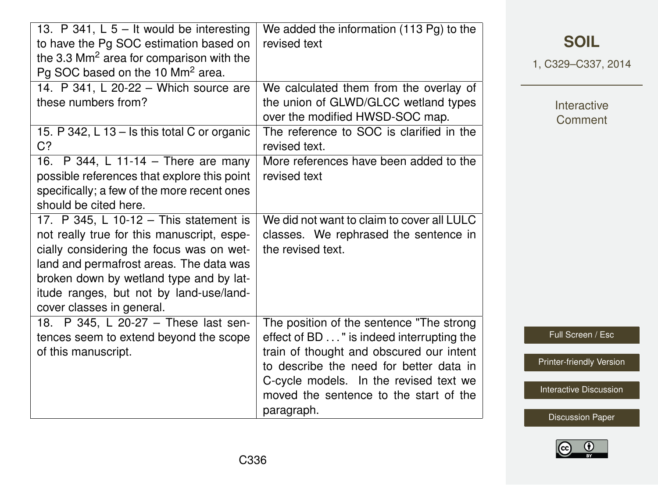| 13. P 341, L $5 -$ It would be interesting<br>to have the Pg SOC estimation based on<br>the 3.3 $\text{Mm}^2$ area for comparison with the<br>Pg SOC based on the 10 Mm <sup>2</sup> area.                                                                                                     | We added the information (113 Pg) to the<br>revised text                                                                                                                                                                                                                       |
|------------------------------------------------------------------------------------------------------------------------------------------------------------------------------------------------------------------------------------------------------------------------------------------------|--------------------------------------------------------------------------------------------------------------------------------------------------------------------------------------------------------------------------------------------------------------------------------|
| 14. P 341, L 20-22 - Which source are<br>these numbers from?                                                                                                                                                                                                                                   | We calculated them from the overlay of<br>the union of GLWD/GLCC wetland types<br>over the modified HWSD-SOC map.                                                                                                                                                              |
| 15. P 342, L 13 - Is this total C or organic<br>C <sub>2</sub>                                                                                                                                                                                                                                 | The reference to SOC is clarified in the<br>revised text.                                                                                                                                                                                                                      |
| 16. P 344, L 11-14 - There are many<br>possible references that explore this point<br>specifically; a few of the more recent ones<br>should be cited here.                                                                                                                                     | More references have been added to the<br>revised text                                                                                                                                                                                                                         |
| 17. P 345, L 10-12 - This statement is<br>not really true for this manuscript, espe-<br>cially considering the focus was on wet-<br>land and permafrost areas. The data was<br>broken down by wetland type and by lat-<br>itude ranges, but not by land-use/land-<br>cover classes in general. | We did not want to claim to cover all LULC<br>classes. We rephrased the sentence in<br>the revised text.                                                                                                                                                                       |
| 18. P 345, L 20-27 - These last sen-<br>tences seem to extend beyond the scope<br>of this manuscript.                                                                                                                                                                                          | The position of the sentence "The strong<br>effect of BD " is indeed interrupting the<br>train of thought and obscured our intent<br>to describe the need for better data in<br>C-cycle models. In the revised text we<br>moved the sentence to the start of the<br>paragraph. |

**[SOIL](http://www.soil-discuss.net)**

1, C329–C337, 2014

Interactive **Comment** 

Full Screen / Esc

[Printer-friendly Version](http://www.soil-discuss.net/1/C329/2014/soild-1-C329-2014-print.pdf)

[Interactive Discussion](http://www.soil-discuss.net/1/327/2014/soild-1-327-2014-discussion.html)